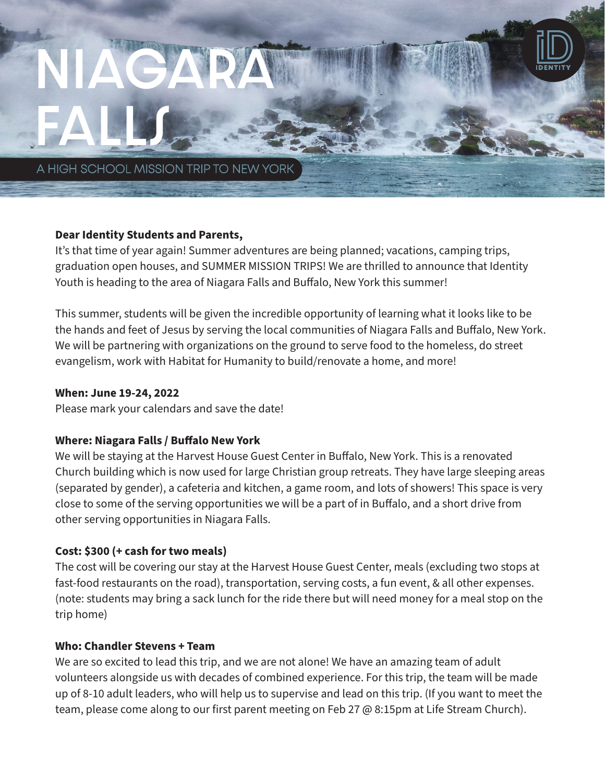# Niagara falls

A HIGH SCHOOL MISSION TRIP TO NEW YORK

# **Dear Identity Students and Parents,**

It's that time of year again! Summer adventures are being planned; vacations, camping trips, graduation open houses, and SUMMER MISSION TRIPS! We are thrilled to announce that Identity Youth is heading to the area of Niagara Falls and Buffalo, New York this summer!

This summer, students will be given the incredible opportunity of learning what it looks like to be the hands and feet of Jesus by serving the local communities of Niagara Falls and Buffalo, New York. We will be partnering with organizations on the ground to serve food to the homeless, do street evangelism, work with Habitat for Humanity to build/renovate a home, and more!

#### **When: June 19-24, 2022**

Please mark your calendars and save the date!

# **Where: Niagara Falls / Buffalo New York**

We will be staying at the Harvest House Guest Center in Buffalo, New York. This is a renovated Church building which is now used for large Christian group retreats. They have large sleeping areas (separated by gender), a cafeteria and kitchen, a game room, and lots of showers! This space is very close to some of the serving opportunities we will be a part of in Buffalo, and a short drive from other serving opportunities in Niagara Falls.

# **Cost: \$300 (+ cash for two meals)**

The cost will be covering our stay at the Harvest House Guest Center, meals (excluding two stops at fast-food restaurants on the road), transportation, serving costs, a fun event, & all other expenses. (note: students may bring a sack lunch for the ride there but will need money for a meal stop on the trip home)

# **Who: Chandler Stevens + Team**

We are so excited to lead this trip, and we are not alone! We have an amazing team of adult volunteers alongside us with decades of combined experience. For this trip, the team will be made up of 8-10 adult leaders, who will help us to supervise and lead on this trip. (If you want to meet the team, please come along to our first parent meeting on Feb 27 @ 8:15pm at Life Stream Church).